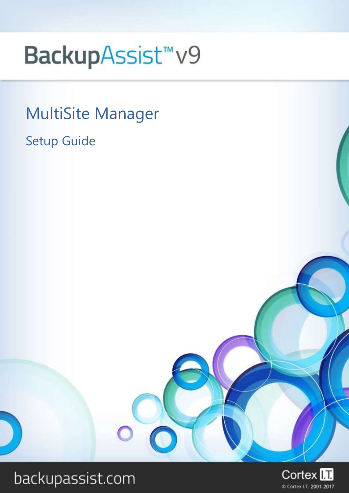# BackupAssist<sup>™</sup>v9

MultiSite Manager

Setup Guide



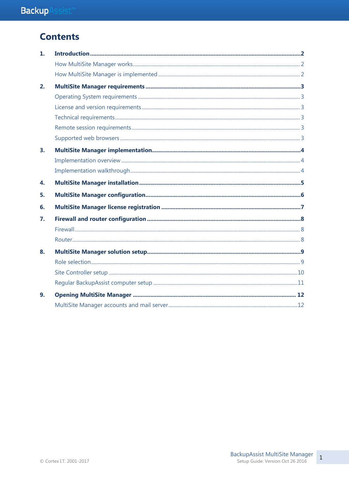# **Contents**

| 1. |  |
|----|--|
|    |  |
|    |  |
| 2. |  |
|    |  |
|    |  |
|    |  |
|    |  |
|    |  |
| 3. |  |
|    |  |
|    |  |
| 4. |  |
| 5. |  |
| 6. |  |
| 7. |  |
|    |  |
|    |  |
| 8. |  |
|    |  |
|    |  |
|    |  |
| 9. |  |
|    |  |

 $\,1\,$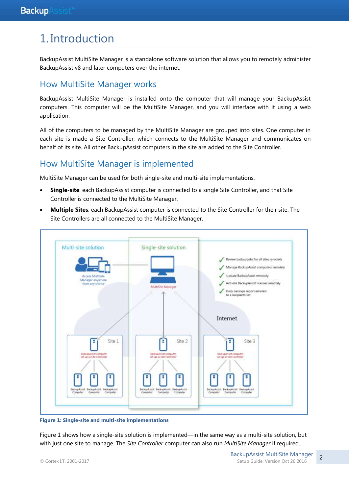# 1. Introduction

BackupAssist MultiSite Manager is a standalone software solution that allows you to remotely administer BackupAssist v8 and later computers over the internet.

### How MultiSite Manager works

BackupAssist MultiSite Manager is installed onto the computer that will manage your BackupAssist computers. This computer will be the MultiSite Manager, and you will interface with it using a web application.

All of the computers to be managed by the MultiSite Manager are grouped into sites. One computer in each site is made a Site Controller, which connects to the MultiSite Manager and communicates on behalf of its site. All other BackupAssist computers in the site are added to the Site Controller.

# How MultiSite Manager is implemented

MultiSite Manager can be used for both single-site and multi-site implementations.

- **Single-site**: each BackupAssist computer is connected to a single Site Controller, and that Site Controller is connected to the MultiSite Manager.
- **Multiple Sites**: each BackupAssist computer is connected to the Site Controller for their site. The Site Controllers are all connected to the MultiSite Manager.



**Figure 1: Single-site and multi-site implementations**

Figure 1 shows how a single-site solution is implemented—in the same way as a multi-site solution, but with just one site to manage. The *Site Controller* computer can also run *MultiSite Manager* if required.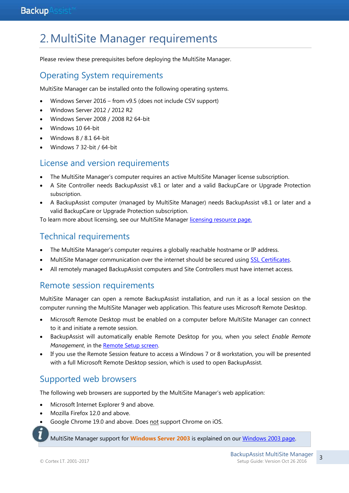# 2.MultiSite Manager requirements

Please review these prerequisites before deploying the MultiSite Manager.

# Operating System requirements

MultiSite Manager can be installed onto the following operating systems.

- Windows Server 2016 from v9.5 (does not include CSV support)
- Windows Server 2012 / 2012 R2
- Windows Server 2008 / 2008 R2 64-bit
- Windows 10 64-bit
- Windows 8 / 8.1 64-bit
- Windows 7 32-bit / 64-bit

### License and version requirements

- The MultiSite Manager's computer requires an active MultiSite Manager license subscription.
- A Site Controller needs BackupAssist v8.1 or later and a valid BackupCare or Upgrade Protection subscription.
- A BackupAssist computer (managed by MultiSite Manager) needs BackupAssist v8.1 or later and a valid BackupCare or Upgrade Protection subscription.

To learn more about licensing, see our MultiSite Manager [licensing resource page.](http://www.backupassist.com/education/v9/multisite-manager/multisite-manager-licensing-guide.html)

# Technical requirements

- The MultiSite Manager's computer requires a globally reachable hostname or IP address.
- MultiSite Manager communication over the internet should be secured using [SSL Certificates.](http://www.backupassist.com/education/v9/multisite-manager/multisite-manager-certificates.html)
- All remotely managed BackupAssist computers and Site Controllers must have internet access.

### Remote session requirements

MultiSite Manager can open a remote BackupAssist installation, and run it as a local session on the computer running the MultiSite Manager web application. This feature uses Microsoft Remote Desktop.

- Microsoft Remote Desktop must be enabled on a computer before MultiSite Manager can connect to it and initiate a remote session.
- BackupAssist will automatically enable Remote Desktop for you, when you select *Enable Remote Management*, in the [Remote Setup screen.](#page-9-0)
- If you use the Remote Session feature to access a Windows 7 or 8 workstation, you will be presented with a full Microsoft Remote Desktop session, which is used to open BackupAssist.

# Supported web browsers

The following web browsers are supported by the MultiSite Manager's web application:

- Microsoft Internet Explorer 9 and above.
- Mozilla Firefox 12.0 and above.
	- Google Chrome 19.0 and above. Does not support Chrome on iOS.

MultiSite Manager support for **Windows Server 2003** is explained on ou[r Windows 2003 page.](http://www.backupassist.com/education/v9/multisite-manager/multisite-manager-windows-2003-support.html) 

3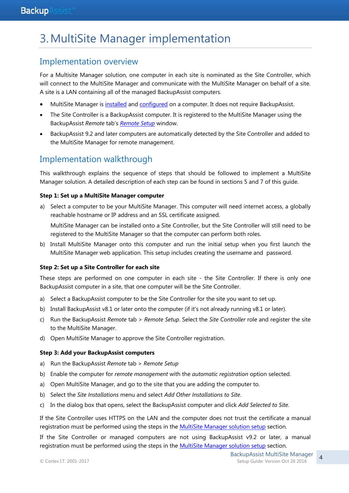# 3.MultiSite Manager implementation

### Implementation overview

For a Multisite Manager solution, one computer in each site is nominated as the Site Controller, which will connect to the MultiSite Manager and communicate with the MultiSite Manager on behalf of a site. A site is a LAN containing all of the managed BackupAssist computers.

- MultiSite Manager is [installed](#page-5-0) and [configured](#page-6-0) on a computer. It does not require BackupAssist.
- The Site Controller is a BackupAssist computer. It is registered to the MultiSite Manager using the BackupAssist *Remote* tab's *[Remote Setup](#page-10-0)* window.
- BackupAssist 9.2 and later computers are automatically detected by the Site Controller and added to the MultiSite Manager for remote management.

# Implementation walkthrough

This walkthrough explains the sequence of steps that should be followed to implement a MultiSite Manager solution. A detailed description of each step can be found in sections 5 and 7 of this guide.

#### **Step 1: Set up a MultiSite Manager computer**

- a) Select a computer to be your MultiSite Manager. This computer will need internet access, a globally reachable hostname or IP address and an SSL certificate assigned. MultiSite Manager can be installed onto a Site Controller, but the Site Controller will still need to be registered to the MultiSite Manager so that the computer can perform both roles.
- b) Install MultiSite Manager onto this computer and run the initial setup when you first launch the MultiSite Manager web application. This setup includes creating the username and password.

#### **Step 2: Set up a Site Controller for each site**

These steps are performed on one computer in each site - the Site Controller. If there is only one BackupAssist computer in a site, that one computer will be the Site Controller.

- a) Select a BackupAssist computer to be the Site Controller for the site you want to set up.
- b) Install BackupAssist v8.1 or later onto the computer (if it's not already running v8.1 or later).
- c) Run the BackupAssist *Remote* tab > *Remote Setup*. Select the *Site Controller* role and register the site to the MultiSite Manager.
- d) Open MultiSite Manager to approve the Site Controller registration.

#### **Step 3: Add your BackupAssist computers**

- a) Run the BackupAssist *Remote* tab > *Remote Setup*
- b) Enable the computer for *remote management* with the *automatic registration* option selected.
- a) Open MultiSite Manager, and go to the site that you are adding the computer to.
- b) Select the *Site Installations* menu and select *Add Other Installations to Site*.
- c) In the dialog box that opens, select the BackupAssist computer and click *Add Selected to Site*.

If the Site Controller uses HTTPS on the LAN and the computer does not trust the certificate a manual registration must be performed using the steps in the [MultiSite Manager solution setup](#page-9-0) section.

If the Site Controller or managed computers are not using BackupAssist v9.2 or later, a manual registration must be performed using the steps in the **MultiSite Manager solution setup** section.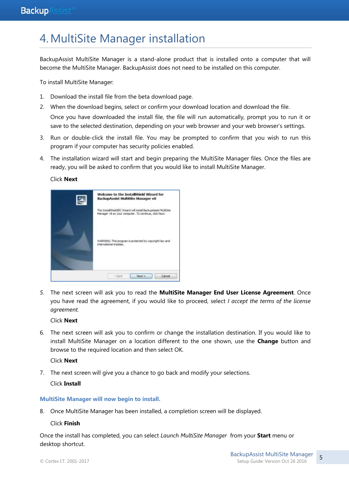# <span id="page-5-0"></span>4.MultiSite Manager installation

BackupAssist MultiSite Manager is a stand-alone product that is installed onto a computer that will become the MultiSite Manager. BackupAssist does not need to be installed on this computer.

To install MultiSite Manager:

- 1. Download the install file from the beta download page.
- 2. When the download begins, select or confirm your download location and download the file. Once you have downloaded the install file, the file will run automatically, prompt you to run it or save to the selected destination, depending on your web browser and your web browser's settings.
- 3. Run or double-click the install file. You may be prompted to confirm that you wish to run this program if your computer has security policies enabled.
- 4. The installation wizard will start and begin preparing the MultiSite Manager files. Once the files are ready, you will be asked to confirm that you would like to install MultiSite Manager.

Click **Next**



*5.* The next screen will ask you to read the **MultiSite Manager End User License Agreement**. Once you have read the agreement, if you would like to proceed, select *I accept the terms of the license agreement.* 

Click **Next**

6. The next screen will ask you to confirm or change the installation destination. If you would like to install MultiSite Manager on a location different to the one shown, use the **Change** button and browse to the required location and then select OK.

Click **Next**

7. The next screen will give you a chance to go back and modify your selections.

Click **Install**

#### **MultiSite Manager will now begin to install.**

8. Once MultiSite Manager has been installed, a completion screen will be displayed.

Click **Finish**

Once the install has completed, you can select *Launch MultiSite Manager* from your **Start** menu or desktop shortcut.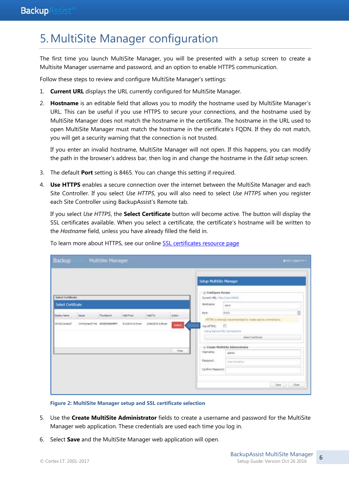# <span id="page-6-0"></span>5.MultiSite Manager configuration

The first time you launch MultiSite Manager, you will be presented with a setup screen to create a Multisite Manager username and password, and an option to enable HTTPS communication.

Follow these steps to review and configure MultiSite Manager's settings:

- 1. **Current URL** displays the URL currently configured for MultiSite Manager.
- 2. **Hostname** is an editable field that allows you to modify the hostname used by MultiSite Manager's URL. This can be useful if you use HTTPS to secure your connections, and the hostname used by MultiSite Manager does not match the hostname in the certificate. The hostname in the URL used to open MultiSite Manager must match the hostname in the certificate's FQDN. If they do not match, you will get a security warning that the connection is not trusted.

If you enter an invalid hostname, MultiSite Manager will not open. If this happens, you can modify the path in the browser's address bar, then log in and change the hostname in the *Edit setup* screen.

- 3. The default **Port** setting is 8465. You can change this setting if required.
- 4. **Use HTTPS** enables a secure connection over the internet between the MultiSite Manager and each Site Controller. If you select *Use HTTPS*, you will also need to select *Use HTTPS* when you register each Site Controller using BackupAssist's Remote tab.

If you select *Use HTTPS*, the **Select Certificate** button will become active. The button will display the SSL certificates available. When you select a certificate, the certificate's hostname will be written to the *Hostname* field, unless you have already filled the field in.

| Backup             |                                                                        | MultiSite Manager |                   |                                                                                                               |        |                                                                                  |                                  | A NOT COUGHT 11 . |
|--------------------|------------------------------------------------------------------------|-------------------|-------------------|---------------------------------------------------------------------------------------------------------------|--------|----------------------------------------------------------------------------------|----------------------------------|-------------------|
| Select Certificate |                                                                        |                   |                   |                                                                                                               |        | Sctup MultiSite Manager<br>- Configure Access<br>Current URL: http://ws-ridiets. |                                  |                   |
| Select Certificate |                                                                        |                   |                   |                                                                                                               |        | Hostname:                                                                        | WIHT                             |                   |
| Display Name       | <b>Stouer</b>                                                          | Tourtoont.        | <b>Valid Prom</b> | Valid To-                                                                                                     | Action | Port:                                                                            | 8465                             | ¢                 |
| WS-RLCprisoff      | Cli-CortesIT-Hk 9630E5998ABFF<br>2/26/2015 2:59 pm<br>5/1/2014 4:14 pm |                   | <b>Select</b>     | HTTPS is strongly recommended to strate accure connections.<br>团<br>Use HTTPS:<br>Dang Sacura 95L Cennections |        |                                                                                  |                                  |                   |
|                    |                                                                        |                   |                   |                                                                                                               |        |                                                                                  | tiefect Cartificate              |                   |
|                    |                                                                        |                   |                   |                                                                                                               |        |                                                                                  | - Treate MultiSite Administrator |                   |
|                    |                                                                        |                   |                   |                                                                                                               | Cine   | Upmanie:                                                                         | admin                            |                   |
|                    |                                                                        |                   |                   |                                                                                                               |        | Password:                                                                        | Gran Services                    |                   |
|                    |                                                                        |                   |                   |                                                                                                               |        | Confirm Password:                                                                |                                  |                   |
|                    |                                                                        |                   |                   |                                                                                                               |        |                                                                                  |                                  | Save Close        |

To learn more about HTTPS, see our online **SSL** certificates resource page

**Figure 2: MultiSite Manager setup and SSL certificate selection**

- 5. Use the **Create MultiSite Administrator** fields to create a username and password for the MultiSite Manager web application. These credentials are used each time you log in.
- 6. Select **Save** and the MultiSite Manager web application will open.

6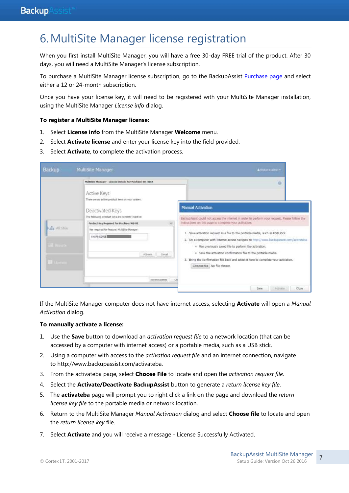# 6.MultiSite Manager license registration

When you first install MultiSite Manager, you will have a free 30-day FREE trial of the product. After 30 days, you will need a MultiSite Manager's license subscription.

To purchase a MultiSite Manager license subscription, go to the BackupAssist [Purchase page](http://www.backupassist.com/purchasing/purchase.php#top) and select either a 12 or 24-month subscription.

Once you have your license key, it will need to be registered with your MultiSite Manager installation, using the MultiSite Manager *License info* dialog.

#### **To register a MultiSite Manager license:**

- 1. Select **License info** from the MultiSite Manager **Welcome** menu.
- 2. Select **Activate license** and enter your license key into the field provided.
- 3. Select **Activate**, to complete the activation process.

| Backup                                                    | MultiSite Manager                                                                                                                                                                                                                                                                                                                                            | A maturity wings +                                                                                                                                                                                                                                                                                                                                                                                                                                                                                                                                                                                                         |
|-----------------------------------------------------------|--------------------------------------------------------------------------------------------------------------------------------------------------------------------------------------------------------------------------------------------------------------------------------------------------------------------------------------------------------------|----------------------------------------------------------------------------------------------------------------------------------------------------------------------------------------------------------------------------------------------------------------------------------------------------------------------------------------------------------------------------------------------------------------------------------------------------------------------------------------------------------------------------------------------------------------------------------------------------------------------------|
| die All Sites<br><b>Carl Bill</b><br><b>TR</b> Literature | Multilite Manager - License Details For MacGins: WS-RICK<br>Active Keys<br>There are no active product loys on your maters.<br>Deactivated Keys<br>The following product losis are comently inactive:<br>Product Key Required For Machine: WS-83<br>(8)<br>Key required for feature: MultSite Manager<br>6N6F6-E3FEE<br>Atbete<br>Cancel<br>Astronto Dominic | Đ<br><b>Manual Activation</b><br>BackupAssist could not access the interior in order to perform your request. Please follow the<br>Instructions on this page to complete your activation.<br>1. Save activation request as a file to the portable media, such as USB stick.<br>2. On a computer with Internet access navigate to http://www.backupasset.com/activateba.<br>= Use previously saved file to perform the activation.<br>. Save the activation confirmation file to the portable media.<br>3. Bring the confirmation file back and select it here to complete your activation.<br>Choose file   No file chosen |
|                                                           |                                                                                                                                                                                                                                                                                                                                                              | Activity<br>Saire<br>Close                                                                                                                                                                                                                                                                                                                                                                                                                                                                                                                                                                                                 |

If the MultiSite Manager computer does not have internet access, selecting **Activate** will open a *Manual Activation* dialog.

#### **To manually activate a license:**

- 1. Use the **Save** button to download an *activation request file* to a network location (that can be accessed by a computer with internet access) or a portable media, such as a USB stick.
- 2. Using a computer with access to the *activation request file* and an internet connection, navigate to [http://www.backupassist.com/activateba.](http://www.backupassist.com/activateba)
- 3. From the activateba page, select **Choose File** to locate and open the *activation request file*.
- 4. Select the **Activate/Deactivate BackupAssist** button to generate a *return license key file*.
- 5. The **activateba** page will prompt you to right click a link on the page and download the *return license key file* to the portable media or network location.
- 6. Return to the MultiSite Manager *Manual Activation* dialog and select **Choose file** to locate and open the *return license key* file.
- 7. Select **Activate** and you will receive a message License Successfully Activated.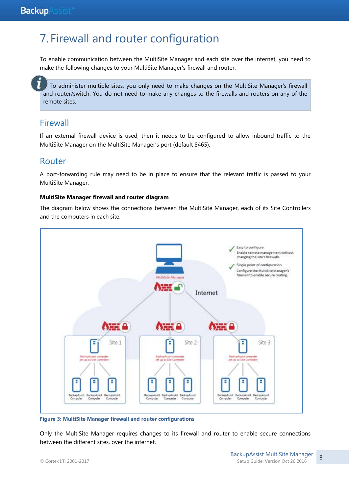# 7. Firewall and router configuration

To enable communication between the MultiSite Manager and each site over the internet, you need to make the following changes to your MultiSite Manager's firewall and router.

 To administer multiple sites, you only need to make changes on the MultiSite Manager's firewall and router/switch. You do not need to make any changes to the firewalls and routers on any of the remote sites.

### Firewall

If an external firewall device is used, then it needs to be configured to allow inbound traffic to the MultiSite Manager on the MultiSite Manager's port (default 8465).

### Router

A port-forwarding rule may need to be in place to ensure that the relevant traffic is passed to your MultiSite Manager.

### **MultiSite Manager firewall and router diagram**

The diagram below shows the connections between the MultiSite Manager, each of its Site Controllers and the computers in each site.



**Figure 3: MultiSite Manager firewall and router configurations**

Only the MultiSite Manager requires changes to its firewall and router to enable secure connections between the different sites, over the internet.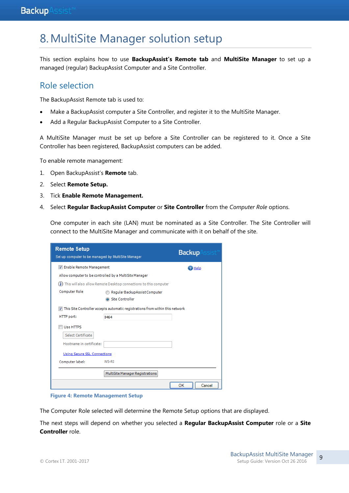# <span id="page-9-0"></span>8.MultiSite Manager solution setup

This section explains how to use **BackupAssist's Remote tab** and **MultiSite Manager** to set up a managed (regular) BackupAssist Computer and a Site Controller.

### Role selection

The BackupAssist Remote tab is used to:

- Make a BackupAssist computer a Site Controller, and register it to the MultiSite Manager.
- Add a Regular BackupAssist Computer to a Site Controller.

A MultiSite Manager must be set up before a Site Controller can be registered to it. Once a Site Controller has been registered, BackupAssist computers can be added.

To enable remote management:

- 1. Open BackupAssist's **Remote** tab.
- 2. Select **Remote Setup.**
- 3. Tick **Enable Remote Management.**
- 4. Select **Regular BackupAssist Computer** or **Site Controller** from the *Computer Role* options.

One computer in each site (LAN) must be nominated as a Site Controller. The Site Controller will connect to the MultiSite Manager and communicate with it on behalf of the site.

| <b>Remote Setup</b><br>Set up computer to be managed by MultiSite Manager |                                                                                 | <b>Backup</b> |
|---------------------------------------------------------------------------|---------------------------------------------------------------------------------|---------------|
| T Enable Remote Management                                                |                                                                                 | <b>P</b> Help |
|                                                                           | Allow computer to be controlled by a MultiSite Manager                          |               |
| $\left( \mathbf{i}\right)$                                                | This will also allow Remote Desktop connections to this computer                |               |
| <b>Computer Role</b>                                                      | Regular BackupAssist Computer                                                   |               |
|                                                                           | Site Controller                                                                 |               |
|                                                                           | V This Site Controller accepts automatic registrations from within this network |               |
| HTTP port:                                                                | 8464                                                                            |               |
| Use HTTPS                                                                 |                                                                                 |               |
| Select Certificate                                                        |                                                                                 |               |
| Hostname in certificate:                                                  |                                                                                 |               |
| <b>Using Secure SSL Connections</b>                                       |                                                                                 |               |
| Computer label:                                                           | WS-RI                                                                           |               |
|                                                                           | MultiSite Manager Registrations                                                 |               |
|                                                                           |                                                                                 | OK<br>Cancel  |

**Figure 4: Remote Management Setup**

The Computer Role selected will determine the Remote Setup options that are displayed.

The next steps will depend on whether you selected a **Regular BackupAssist Computer** role or a **Site Controller** role.

9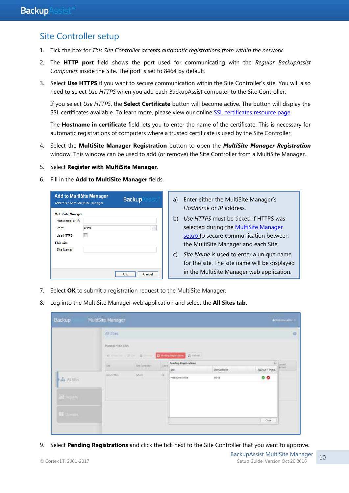### <span id="page-10-0"></span>Site Controller setup

- 1. Tick the box for *This Site Controller accepts automatic registrations from within the network*.
- 2. The **HTTP port** field shows the port used for communicating with the *Regular BackupAssist Computers* inside the Site. The port is set to 8464 by default.
- 3. Select **Use HTTPS** if you want to secure communication within the Site Controller's site. You will also need to select *Use HTTPS* when you add each BackupAssist computer to the Site Controller.

If you select *Use HTTPS*, the **Select Certificate** button will become active. The button will display the SSL certificates available. To learn more, please view our online [SSL certificates resource page.](http://www.backupassist.com/education/v9/multisite-manager/multisite-manager-certificates.html)

The **Hostname in certificate** field lets you to enter the name of the certificate. This is necessary for automatic registrations of computers where a trusted certificate is used by the Site Controller.

- 4. Select the **MultiSite Manager Registration** button to open the *MultiSite Manager Registration* window. This window can be used to add (or remove) the Site Controller from a MultiSite Manager.
- 5. Select **Register with MultiSite Manager**.
- 6. Fill in the **Add to MultiSite Manager** fields.

| <b>Add to MultiSite Manager</b><br>Add this site to MultiSite Manager |      | <b>Backup</b> Assis |
|-----------------------------------------------------------------------|------|---------------------|
| <b>MultiSite Manager</b>                                              |      |                     |
| Hostname or IP:                                                       |      |                     |
| Port:                                                                 | 8465 | ÷                   |
| Use HTTPS:                                                            |      |                     |
| This site                                                             |      |                     |
| Site Name:                                                            |      |                     |
|                                                                       |      |                     |
|                                                                       |      |                     |
|                                                                       |      | Cancel<br>OK        |
|                                                                       |      |                     |

- a) Enter either the MultiSite Manager's *Hostname* or *IP* address.
- b) *Use HTTPS* must be ticked if HTTPS was selected during the **MultiSite Manager** [setup](#page-6-0) to secure communication between the MultiSite Manager and each Site.
- c) *Site Name* is used to enter a unique name for the site. The site name will be displayed in the MultiSite Manager web application.
- 7. Select **OK** to submit a registration request to the MultiSite Manager.
- 8. Log into the MultiSite Manager web application and select the **All Sites tab.**

| Backup                             | MultiSite Manager              |                                                                                                                                                                                                                                                                                                                                                                                                                                                                                                             |                          |                              |                                   |                              | A Visitore attenta |
|------------------------------------|--------------------------------|-------------------------------------------------------------------------------------------------------------------------------------------------------------------------------------------------------------------------------------------------------------------------------------------------------------------------------------------------------------------------------------------------------------------------------------------------------------------------------------------------------------|--------------------------|------------------------------|-----------------------------------|------------------------------|--------------------|
|                                    | All Sites<br><b>COLLECTIVE</b> |                                                                                                                                                                                                                                                                                                                                                                                                                                                                                                             |                          |                              |                                   |                              |                    |
|                                    | Manage your sites              |                                                                                                                                                                                                                                                                                                                                                                                                                                                                                                             |                          |                              |                                   |                              |                    |
|                                    |                                | $\mathbf{d}^{\top} = \mathbf{1} \times \mathbf{1} \times \mathbf{1} \times \mathbf{1} \times \mathbf{1} \times \mathbf{1} \times \mathbf{1} \times \mathbf{1} \times \mathbf{1} \times \mathbf{1} \times \mathbf{1} \times \mathbf{1} \times \mathbf{1} \times \mathbf{1} \times \mathbf{1} \times \mathbf{1} \times \mathbf{1} \times \mathbf{1} \times \mathbf{1} \times \mathbf{1} \times \mathbf{1} \times \mathbf{1} \times \mathbf{1} \times \mathbf{1} \times \mathbf{1} \times \mathbf{1} \times \$ |                          | C Prime Assistance (C Prime) |                                   |                              |                    |
|                                    | <b>Sty</b>                     | Shi Simolar                                                                                                                                                                                                                                                                                                                                                                                                                                                                                                 | $\overline{\phantom{a}}$ | Pending Registrations        |                                   | $\mathbb{H}^+$               | <b>Street</b>      |
| $\frac{1}{\sin\theta}$ all Sibes   | Healona                        | $95 - 1$                                                                                                                                                                                                                                                                                                                                                                                                                                                                                                    | <b>Ok</b>                | Ste<br>Helbsume Office       | $\pm a$ Cormaler<br>$\frac{1}{2}$ | Approve / Reject.<br>$\circ$ |                    |
| $\overline{\Omega}$ . Let $\Omega$ |                                |                                                                                                                                                                                                                                                                                                                                                                                                                                                                                                             |                          |                              |                                   |                              |                    |
|                                    |                                |                                                                                                                                                                                                                                                                                                                                                                                                                                                                                                             |                          |                              |                                   |                              |                    |
| <b>EL Livers</b>                   |                                |                                                                                                                                                                                                                                                                                                                                                                                                                                                                                                             |                          |                              |                                   |                              |                    |
|                                    |                                |                                                                                                                                                                                                                                                                                                                                                                                                                                                                                                             |                          |                              |                                   | $:$ Close                    |                    |

9. Select **Pending Registrations** and click the tick next to the Site Controller that you want to approve.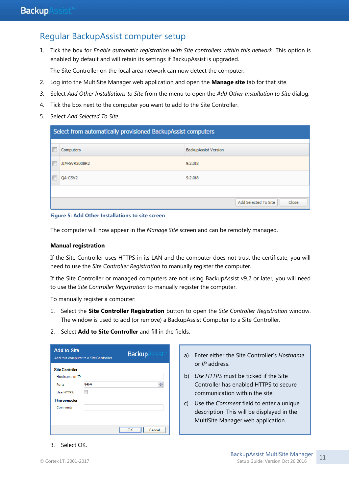### Regular BackupAssist computer setup

1. Tick the box for *Enable automatic registration with Site controllers within this network*. This option is enabled by default and will retain its settings if BackupAssist is upgraded.

The Site Controller on the local area network can now detect the computer.

- 2. Log into the MultiSite Manager web application and open the **Manage site** tab for that site.
- *3.* Select *Add Other Installations to Site* from the menu to open the *Add Other Installation to Site* dialog.
- 4. Tick the box next to the computer you want to add to the Site Controller.
- 5. Select *Add Selected To Site*.

| Select from automatically provisioned BackupAssist computers |                             |  |  |  |  |  |  |  |
|--------------------------------------------------------------|-----------------------------|--|--|--|--|--|--|--|
| <b>Computers</b>                                             | <b>BackupAssist Version</b> |  |  |  |  |  |  |  |
| JIM-SVR2008R2                                                | 9.2.0t8                     |  |  |  |  |  |  |  |
| QA-CSV2                                                      | 9.2.0 <sub>t8</sub>         |  |  |  |  |  |  |  |
|                                                              |                             |  |  |  |  |  |  |  |
| Add Selected To Site<br>Close                                |                             |  |  |  |  |  |  |  |

#### **Figure 5: Add Other Installations to site screen**

The computer will now appear in the *Manage Site* screen and can be remotely managed.

#### **Manual registration**

If the Site Controller uses HTTPS in its LAN and the computer does not trust the certificate, you will need to use the *Site Controller Registration* to manually register the computer.

If the Site Controller or managed computers are not using BackupAssist v9.2 or later, you will need to use the *Site Controller Registration* to manually register the computer.

To manually register a computer:

- 1. Select the **Site Controller Registration** button to open the *Site Controller Registration* window. The window is used to add (or remove) a BackupAssist Computer to a Site Controller.
- 2. Select **Add to Site Controller** and fill in the fields.

| <b>Add to Site</b>     | Add this computer to a Site Controller | <b>Backup</b> |
|------------------------|----------------------------------------|---------------|
| <b>Site Controller</b> |                                        |               |
| Hostname or IP:        |                                        |               |
| Port:                  | 8464                                   | ÷             |
| Use HTTPS:             |                                        |               |
| This computer          |                                        |               |
| Comment:               |                                        |               |
|                        |                                        |               |
|                        |                                        |               |
|                        |                                        | OK<br>Cancel  |

- a) Enter either the Site Controller's *Hostname* or *IP* address.
- b) *Use HTTPS* must be ticked if the Site Controller has enabled HTTPS to secure communication within the site.
- c) Use the *Comment* field to enter a unique description. This will be displayed in the MultiSite Manager web application.

#### 3. Select OK.